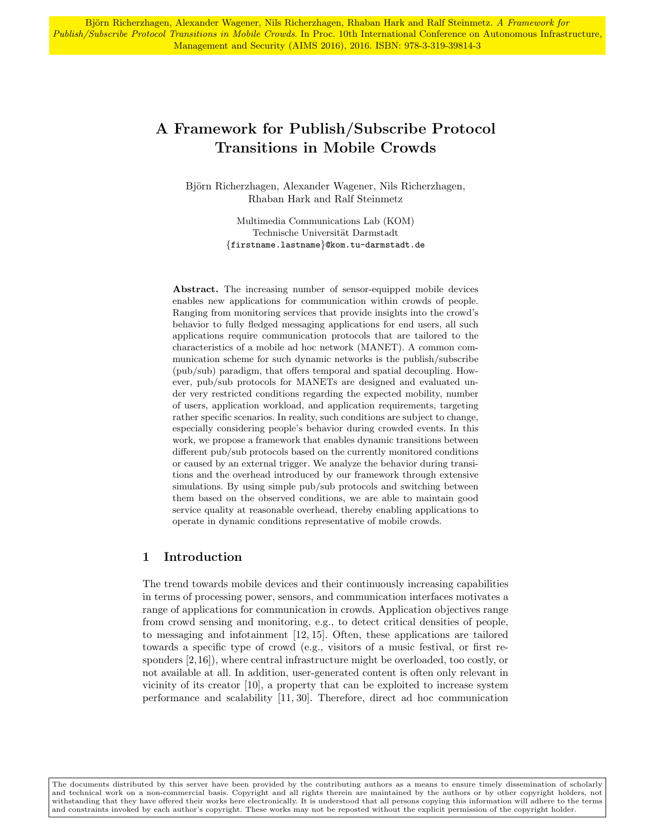# A Framework for Publish/Subscribe Protocol Transitions in Mobile Crowds

Björn Richerzhagen, Alexander Wagener, Nils Richerzhagen, Rhaban Hark and Ralf Steinmetz

> Multimedia Communications Lab (KOM) Technische Universität Darmstadt {firstname.lastname}@kom.tu-darmstadt.de

Abstract. The increasing number of sensor-equipped mobile devices enables new applications for communication within crowds of people. Ranging from monitoring services that provide insights into the crowd's behavior to fully fledged messaging applications for end users, all such applications require communication protocols that are tailored to the characteristics of a mobile ad hoc network (MANET). A common communication scheme for such dynamic networks is the publish/subscribe (pub/sub) paradigm, that offers temporal and spatial decoupling. However, pub/sub protocols for MANETs are designed and evaluated under very restricted conditions regarding the expected mobility, number of users, application workload, and application requirements, targeting rather specific scenarios. In reality, such conditions are subject to change, especially considering people's behavior during crowded events. In this work, we propose a framework that enables dynamic transitions between different pub/sub protocols based on the currently monitored conditions or caused by an external trigger. We analyze the behavior during transitions and the overhead introduced by our framework through extensive simulations. By using simple pub/sub protocols and switching between them based on the observed conditions, we are able to maintain good service quality at reasonable overhead, thereby enabling applications to operate in dynamic conditions representative of mobile crowds.

## 1 Introduction

The trend towards mobile devices and their continuously increasing capabilities in terms of processing power, sensors, and communication interfaces motivates a range of applications for communication in crowds. Application objectives range from crowd sensing and monitoring, e.g., to detect critical densities of people, to messaging and infotainment [12, 15]. Often, these applications are tailored towards a specific type of crowd (e.g., visitors of a music festival, or first responders  $[2,16]$ , where central infrastructure might be overloaded, too costly, or not available at all. In addition, user-generated content is often only relevant in vicinity of its creator [10], a property that can be exploited to increase system performance and scalability [11, 30]. Therefore, direct ad hoc communication

The documents distributed by this server have been provided by the contributing authors as a means to ensure timely dissemination of scholarly and technical work on a non-commercial basis. Copyright and all rights therein are maintained by the authors or by other copyright holders, not withstanding that they have offered their works here electronically. It is understood that all persons copying this information will adhere to the terms and constraints invoked by each author's copyright. These works may not be reposted without the explicit permission of the copyright holder.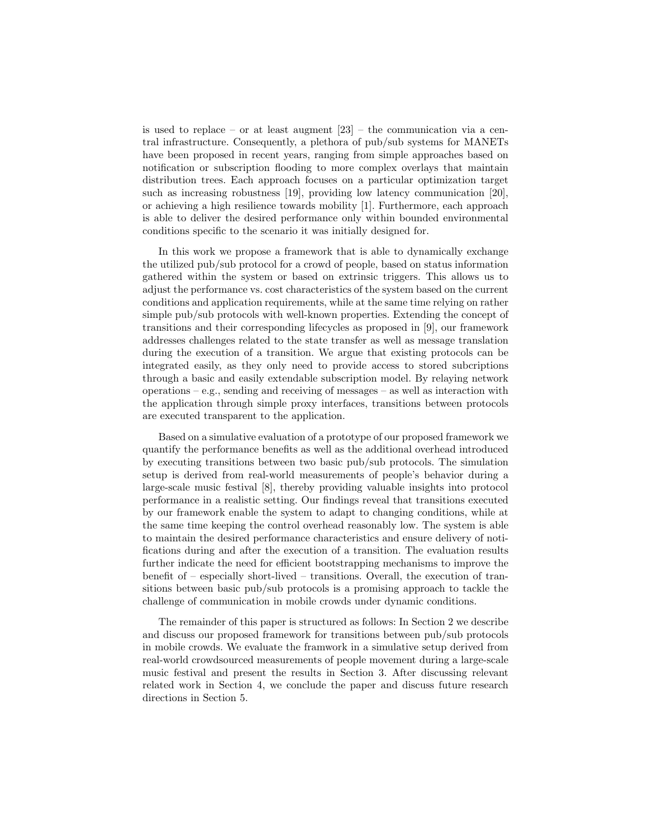is used to replace – or at least augment  $[23]$  – the communication via a central infrastructure. Consequently, a plethora of pub/sub systems for MANETs have been proposed in recent years, ranging from simple approaches based on notification or subscription flooding to more complex overlays that maintain distribution trees. Each approach focuses on a particular optimization target such as increasing robustness [19], providing low latency communication [20], or achieving a high resilience towards mobility [1]. Furthermore, each approach is able to deliver the desired performance only within bounded environmental conditions specific to the scenario it was initially designed for.

In this work we propose a framework that is able to dynamically exchange the utilized pub/sub protocol for a crowd of people, based on status information gathered within the system or based on extrinsic triggers. This allows us to adjust the performance vs. cost characteristics of the system based on the current conditions and application requirements, while at the same time relying on rather simple pub/sub protocols with well-known properties. Extending the concept of transitions and their corresponding lifecycles as proposed in [9], our framework addresses challenges related to the state transfer as well as message translation during the execution of a transition. We argue that existing protocols can be integrated easily, as they only need to provide access to stored subcriptions through a basic and easily extendable subscription model. By relaying network operations – e.g., sending and receiving of messages – as well as interaction with the application through simple proxy interfaces, transitions between protocols are executed transparent to the application.

Based on a simulative evaluation of a prototype of our proposed framework we quantify the performance benefits as well as the additional overhead introduced by executing transitions between two basic pub/sub protocols. The simulation setup is derived from real-world measurements of people's behavior during a large-scale music festival [8], thereby providing valuable insights into protocol performance in a realistic setting. Our findings reveal that transitions executed by our framework enable the system to adapt to changing conditions, while at the same time keeping the control overhead reasonably low. The system is able to maintain the desired performance characteristics and ensure delivery of notifications during and after the execution of a transition. The evaluation results further indicate the need for efficient bootstrapping mechanisms to improve the benefit of – especially short-lived – transitions. Overall, the execution of transitions between basic pub/sub protocols is a promising approach to tackle the challenge of communication in mobile crowds under dynamic conditions.

The remainder of this paper is structured as follows: In Section 2 we describe and discuss our proposed framework for transitions between pub/sub protocols in mobile crowds. We evaluate the framwork in a simulative setup derived from real-world crowdsourced measurements of people movement during a large-scale music festival and present the results in Section 3. After discussing relevant related work in Section 4, we conclude the paper and discuss future research directions in Section 5.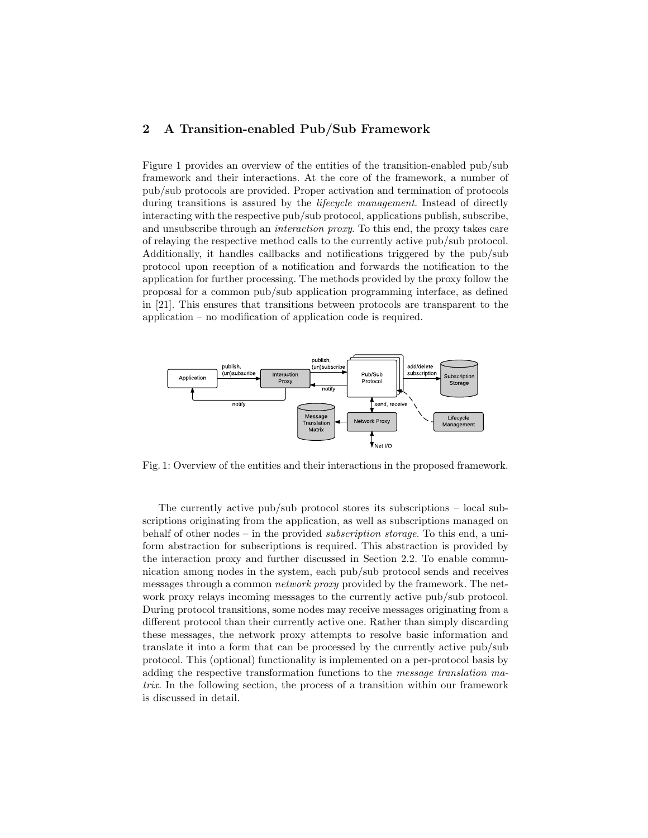## 2 A Transition-enabled Pub/Sub Framework

Figure 1 provides an overview of the entities of the transition-enabled pub/sub framework and their interactions. At the core of the framework, a number of pub/sub protocols are provided. Proper activation and termination of protocols during transitions is assured by the *lifecycle management*. Instead of directly interacting with the respective pub/sub protocol, applications publish, subscribe, and unsubscribe through an interaction proxy. To this end, the proxy takes care of relaying the respective method calls to the currently active pub/sub protocol. Additionally, it handles callbacks and notifications triggered by the pub/sub protocol upon reception of a notification and forwards the notification to the application for further processing. The methods provided by the proxy follow the proposal for a common pub/sub application programming interface, as defined in [21]. This ensures that transitions between protocols are transparent to the application – no modification of application code is required.



Fig. 1: Overview of the entities and their interactions in the proposed framework.

The currently active pub/sub protocol stores its subscriptions – local subscriptions originating from the application, as well as subscriptions managed on behalf of other nodes – in the provided subscription storage. To this end, a uniform abstraction for subscriptions is required. This abstraction is provided by the interaction proxy and further discussed in Section 2.2. To enable communication among nodes in the system, each pub/sub protocol sends and receives messages through a common *network proxy* provided by the framework. The network proxy relays incoming messages to the currently active pub/sub protocol. During protocol transitions, some nodes may receive messages originating from a different protocol than their currently active one. Rather than simply discarding these messages, the network proxy attempts to resolve basic information and translate it into a form that can be processed by the currently active pub/sub protocol. This (optional) functionality is implemented on a per-protocol basis by adding the respective transformation functions to the message translation matrix. In the following section, the process of a transition within our framework is discussed in detail.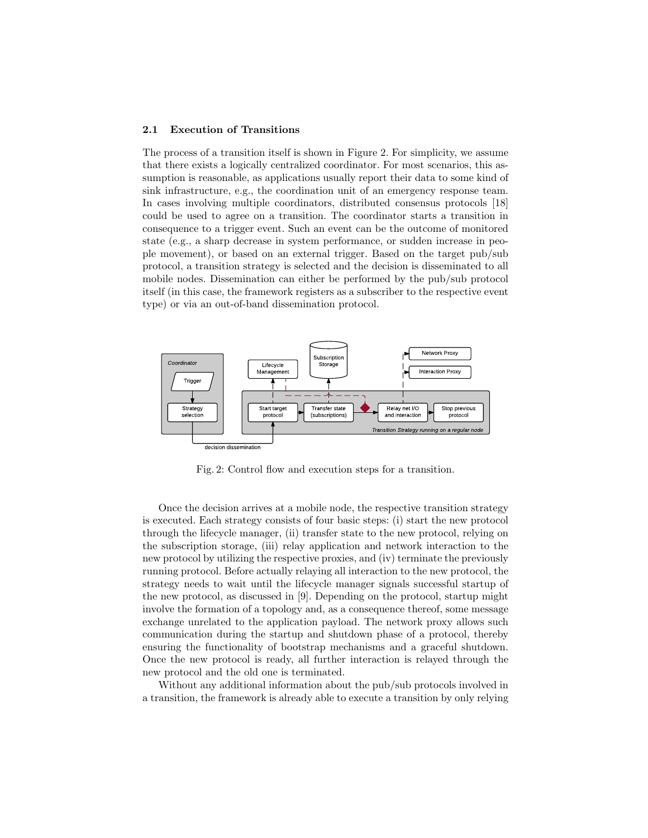#### 2.1 Execution of Transitions

The process of a transition itself is shown in Figure 2. For simplicity, we assume that there exists a logically centralized coordinator. For most scenarios, this assumption is reasonable, as applications usually report their data to some kind of sink infrastructure, e.g., the coordination unit of an emergency response team. In cases involving multiple coordinators, distributed consensus protocols [18] could be used to agree on a transition. The coordinator starts a transition in consequence to a trigger event. Such an event can be the outcome of monitored state (e.g., a sharp decrease in system performance, or sudden increase in people movement), or based on an external trigger. Based on the target pub/sub protocol, a transition strategy is selected and the decision is disseminated to all mobile nodes. Dissemination can either be performed by the pub/sub protocol itself (in this case, the framework registers as a subscriber to the respective event type) or via an out-of-band dissemination protocol.



Fig. 2: Control flow and execution steps for a transition.

Once the decision arrives at a mobile node, the respective transition strategy is executed. Each strategy consists of four basic steps: (i) start the new protocol through the lifecycle manager, (ii) transfer state to the new protocol, relying on the subscription storage, (iii) relay application and network interaction to the new protocol by utilizing the respective proxies, and (iv) terminate the previously running protocol. Before actually relaying all interaction to the new protocol, the strategy needs to wait until the lifecycle manager signals successful startup of the new protocol, as discussed in [9]. Depending on the protocol, startup might involve the formation of a topology and, as a consequence thereof, some message exchange unrelated to the application payload. The network proxy allows such communication during the startup and shutdown phase of a protocol, thereby ensuring the functionality of bootstrap mechanisms and a graceful shutdown. Once the new protocol is ready, all further interaction is relayed through the new protocol and the old one is terminated.

Without any additional information about the pub/sub protocols involved in a transition, the framework is already able to execute a transition by only relying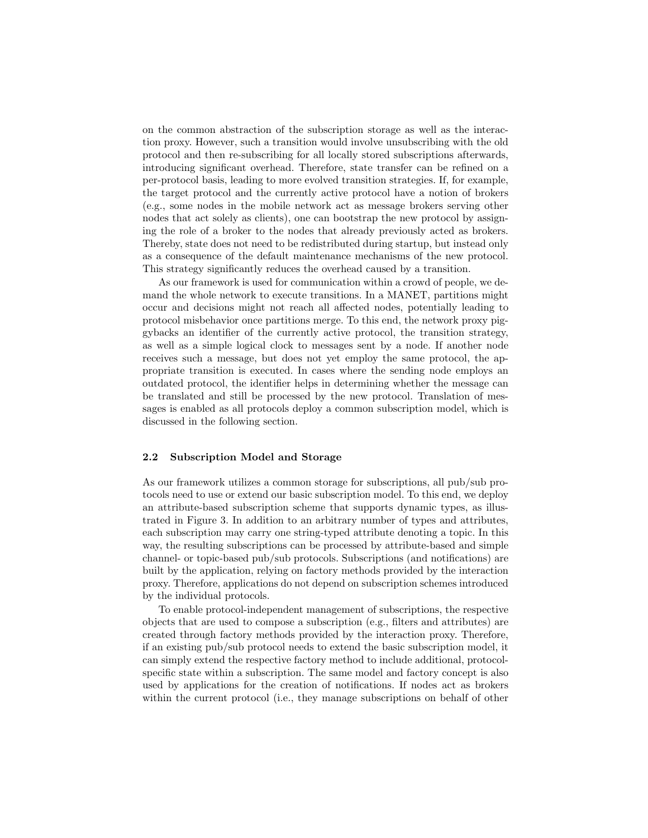on the common abstraction of the subscription storage as well as the interaction proxy. However, such a transition would involve unsubscribing with the old protocol and then re-subscribing for all locally stored subscriptions afterwards, introducing significant overhead. Therefore, state transfer can be refined on a per-protocol basis, leading to more evolved transition strategies. If, for example, the target protocol and the currently active protocol have a notion of brokers (e.g., some nodes in the mobile network act as message brokers serving other nodes that act solely as clients), one can bootstrap the new protocol by assigning the role of a broker to the nodes that already previously acted as brokers. Thereby, state does not need to be redistributed during startup, but instead only as a consequence of the default maintenance mechanisms of the new protocol. This strategy significantly reduces the overhead caused by a transition.

As our framework is used for communication within a crowd of people, we demand the whole network to execute transitions. In a MANET, partitions might occur and decisions might not reach all affected nodes, potentially leading to protocol misbehavior once partitions merge. To this end, the network proxy piggybacks an identifier of the currently active protocol, the transition strategy, as well as a simple logical clock to messages sent by a node. If another node receives such a message, but does not yet employ the same protocol, the appropriate transition is executed. In cases where the sending node employs an outdated protocol, the identifier helps in determining whether the message can be translated and still be processed by the new protocol. Translation of messages is enabled as all protocols deploy a common subscription model, which is discussed in the following section.

#### 2.2 Subscription Model and Storage

As our framework utilizes a common storage for subscriptions, all pub/sub protocols need to use or extend our basic subscription model. To this end, we deploy an attribute-based subscription scheme that supports dynamic types, as illustrated in Figure 3. In addition to an arbitrary number of types and attributes, each subscription may carry one string-typed attribute denoting a topic. In this way, the resulting subscriptions can be processed by attribute-based and simple channel- or topic-based pub/sub protocols. Subscriptions (and notifications) are built by the application, relying on factory methods provided by the interaction proxy. Therefore, applications do not depend on subscription schemes introduced by the individual protocols.

To enable protocol-independent management of subscriptions, the respective objects that are used to compose a subscription (e.g., filters and attributes) are created through factory methods provided by the interaction proxy. Therefore, if an existing pub/sub protocol needs to extend the basic subscription model, it can simply extend the respective factory method to include additional, protocolspecific state within a subscription. The same model and factory concept is also used by applications for the creation of notifications. If nodes act as brokers within the current protocol (i.e., they manage subscriptions on behalf of other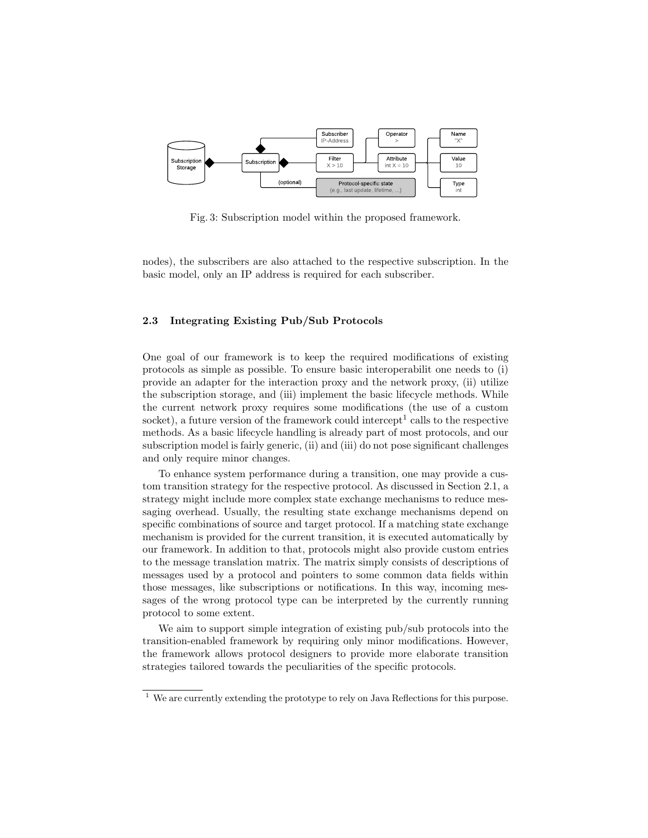

Fig. 3: Subscription model within the proposed framework.

nodes), the subscribers are also attached to the respective subscription. In the basic model, only an IP address is required for each subscriber.

#### 2.3 Integrating Existing Pub/Sub Protocols

One goal of our framework is to keep the required modifications of existing protocols as simple as possible. To ensure basic interoperabilit one needs to (i) provide an adapter for the interaction proxy and the network proxy, (ii) utilize the subscription storage, and (iii) implement the basic lifecycle methods. While the current network proxy requires some modifications (the use of a custom socket), a future version of the framework could intercept<sup>1</sup> calls to the respective methods. As a basic lifecycle handling is already part of most protocols, and our subscription model is fairly generic, (ii) and (iii) do not pose significant challenges and only require minor changes.

To enhance system performance during a transition, one may provide a custom transition strategy for the respective protocol. As discussed in Section 2.1, a strategy might include more complex state exchange mechanisms to reduce messaging overhead. Usually, the resulting state exchange mechanisms depend on specific combinations of source and target protocol. If a matching state exchange mechanism is provided for the current transition, it is executed automatically by our framework. In addition to that, protocols might also provide custom entries to the message translation matrix. The matrix simply consists of descriptions of messages used by a protocol and pointers to some common data fields within those messages, like subscriptions or notifications. In this way, incoming messages of the wrong protocol type can be interpreted by the currently running protocol to some extent.

We aim to support simple integration of existing pub/sub protocols into the transition-enabled framework by requiring only minor modifications. However, the framework allows protocol designers to provide more elaborate transition strategies tailored towards the peculiarities of the specific protocols.

<sup>&</sup>lt;sup>1</sup> We are currently extending the prototype to rely on Java Reflections for this purpose.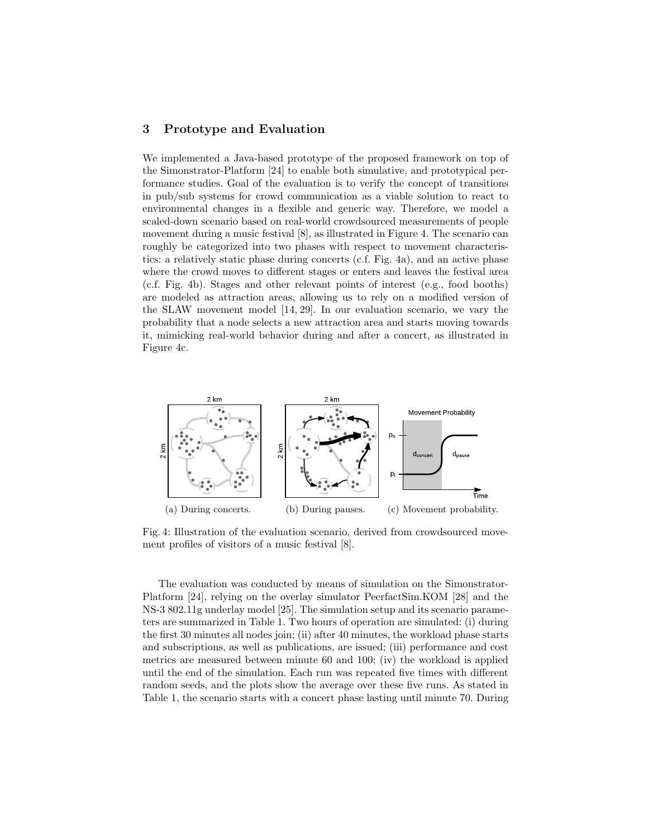### 3 Prototype and Evaluation

We implemented a Java-based prototype of the proposed framework on top of the Simonstrator-Platform [24] to enable both simulative, and prototypical performance studies. Goal of the evaluation is to verify the concept of transitions in pub/sub systems for crowd communication as a viable solution to react to environmental changes in a flexible and generic way. Therefore, we model a scaled-down scenario based on real-world crowdsourced measurements of people movement during a music festival [8], as illustrated in Figure 4. The scenario can roughly be categorized into two phases with respect to movement characteristics: a relatively static phase during concerts (c.f. Fig. 4a), and an active phase where the crowd moves to different stages or enters and leaves the festival area (c.f. Fig. 4b). Stages and other relevant points of interest (e.g., food booths) are modeled as attraction areas, allowing us to rely on a modified version of the SLAW movement model [14, 29]. In our evaluation scenario, we vary the probability that a node selects a new attraction area and starts moving towards it, mimicking real-world behavior during and after a concert, as illustrated in Figure 4c.



Fig. 4: Illustration of the evaluation scenario, derived from crowdsourced movement profiles of visitors of a music festival [8].

The evaluation was conducted by means of simulation on the Simonstrator-Platform [24], relying on the overlay simulator PeerfactSim.KOM [28] and the NS-3 802.11g underlay model [25]. The simulation setup and its scenario parameters are summarized in Table 1. Two hours of operation are simulated: (i) during the first 30 minutes all nodes join; (ii) after 40 minutes, the workload phase starts and subscriptions, as well as publications, are issued; (iii) performance and cost metrics are measured between minute 60 and 100; (iv) the workload is applied until the end of the simulation. Each run was repeated five times with different random seeds, and the plots show the average over these five runs. As stated in Table 1, the scenario starts with a concert phase lasting until minute 70. During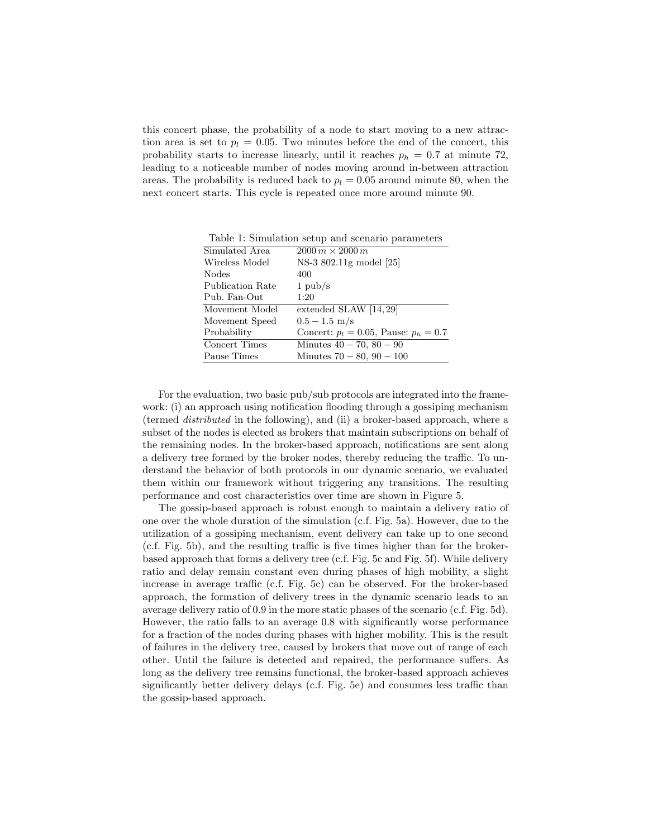this concert phase, the probability of a node to start moving to a new attraction area is set to  $p_l = 0.05$ . Two minutes before the end of the concert, this probability starts to increase linearly, until it reaches  $p_h = 0.7$  at minute 72, leading to a noticeable number of nodes moving around in-between attraction areas. The probability is reduced back to  $p_l = 0.05$  around minute 80, when the next concert starts. This cycle is repeated once more around minute 90.

| Table 1: Simulation setup and scenario parameters |                                            |
|---------------------------------------------------|--------------------------------------------|
| Simulated Area                                    | $2000\,m \times 2000\,m$                   |
| Wireless Model                                    | NS-3 802.11g model [25]                    |
| Nodes                                             | 400                                        |
| Publication Rate                                  | $1$ pub/s                                  |
| Pub. Fan-Out                                      | 1:20                                       |
| Movement Model                                    | extended SLAW $[14, 29]$                   |
| Movement Speed                                    | $0.5 - 1.5$ m/s                            |
| Probability                                       | Concert: $p_l = 0.05$ , Pause: $p_h = 0.7$ |
| Concert Times                                     | Minutes $40 - 70$ , $80 - 90$              |
| Pause Times                                       | Minutes $70 - 80$ , $90 - 100$             |

For the evaluation, two basic pub/sub protocols are integrated into the framework: (i) an approach using notification flooding through a gossiping mechanism (termed distributed in the following), and (ii) a broker-based approach, where a subset of the nodes is elected as brokers that maintain subscriptions on behalf of the remaining nodes. In the broker-based approach, notifications are sent along a delivery tree formed by the broker nodes, thereby reducing the traffic. To understand the behavior of both protocols in our dynamic scenario, we evaluated them within our framework without triggering any transitions. The resulting performance and cost characteristics over time are shown in Figure 5.

The gossip-based approach is robust enough to maintain a delivery ratio of one over the whole duration of the simulation (c.f. Fig. 5a). However, due to the utilization of a gossiping mechanism, event delivery can take up to one second (c.f. Fig. 5b), and the resulting traffic is five times higher than for the brokerbased approach that forms a delivery tree (c.f. Fig. 5c and Fig. 5f). While delivery ratio and delay remain constant even during phases of high mobility, a slight increase in average traffic (c.f. Fig. 5c) can be observed. For the broker-based approach, the formation of delivery trees in the dynamic scenario leads to an average delivery ratio of 0.9 in the more static phases of the scenario (c.f. Fig. 5d). However, the ratio falls to an average 0.8 with significantly worse performance for a fraction of the nodes during phases with higher mobility. This is the result of failures in the delivery tree, caused by brokers that move out of range of each other. Until the failure is detected and repaired, the performance suffers. As long as the delivery tree remains functional, the broker-based approach achieves significantly better delivery delays (c.f. Fig. 5e) and consumes less traffic than the gossip-based approach.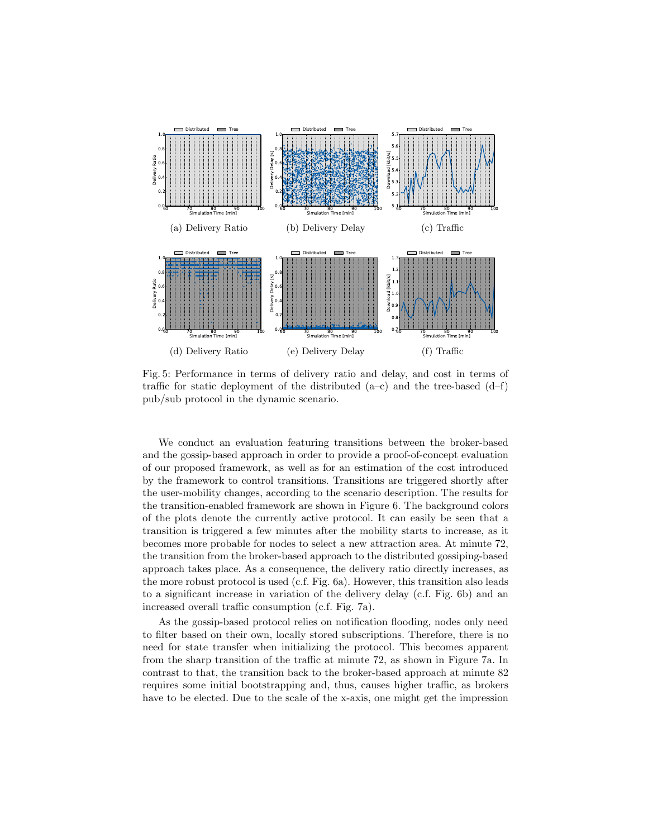

Fig. 5: Performance in terms of delivery ratio and delay, and cost in terms of traffic for static deployment of the distributed  $(a-c)$  and the tree-based  $(d-f)$ pub/sub protocol in the dynamic scenario.

We conduct an evaluation featuring transitions between the broker-based and the gossip-based approach in order to provide a proof-of-concept evaluation of our proposed framework, as well as for an estimation of the cost introduced by the framework to control transitions. Transitions are triggered shortly after the user-mobility changes, according to the scenario description. The results for the transition-enabled framework are shown in Figure 6. The background colors of the plots denote the currently active protocol. It can easily be seen that a transition is triggered a few minutes after the mobility starts to increase, as it becomes more probable for nodes to select a new attraction area. At minute 72, the transition from the broker-based approach to the distributed gossiping-based approach takes place. As a consequence, the delivery ratio directly increases, as the more robust protocol is used (c.f. Fig. 6a). However, this transition also leads to a significant increase in variation of the delivery delay (c.f. Fig. 6b) and an increased overall traffic consumption (c.f. Fig. 7a).

As the gossip-based protocol relies on notification flooding, nodes only need to filter based on their own, locally stored subscriptions. Therefore, there is no need for state transfer when initializing the protocol. This becomes apparent from the sharp transition of the traffic at minute 72, as shown in Figure 7a. In contrast to that, the transition back to the broker-based approach at minute 82 requires some initial bootstrapping and, thus, causes higher traffic, as brokers have to be elected. Due to the scale of the x-axis, one might get the impression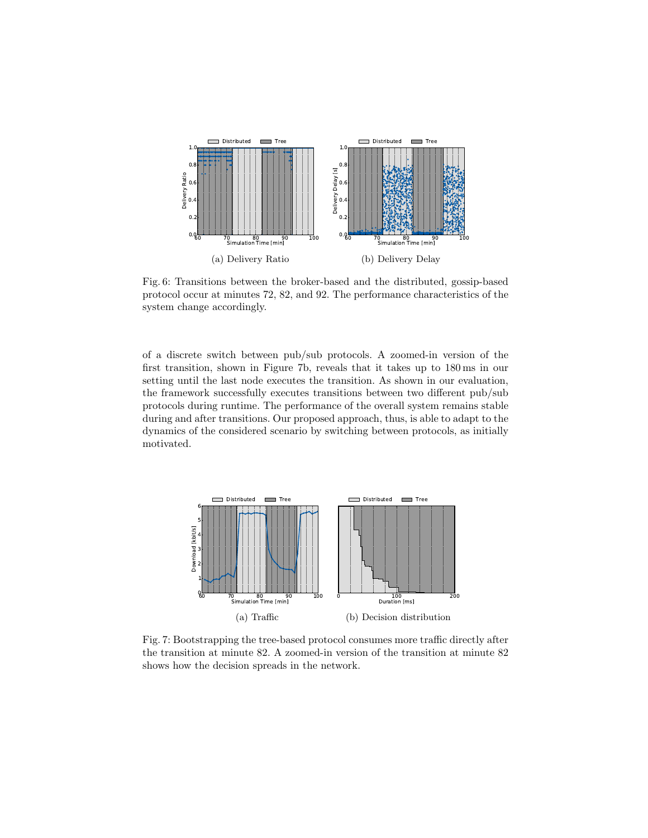

Fig. 6: Transitions between the broker-based and the distributed, gossip-based protocol occur at minutes 72, 82, and 92. The performance characteristics of the system change accordingly.

of a discrete switch between pub/sub protocols. A zoomed-in version of the first transition, shown in Figure 7b, reveals that it takes up to 180 ms in our setting until the last node executes the transition. As shown in our evaluation, the framework successfully executes transitions between two different pub/sub protocols during runtime. The performance of the overall system remains stable during and after transitions. Our proposed approach, thus, is able to adapt to the dynamics of the considered scenario by switching between protocols, as initially motivated.



Fig. 7: Bootstrapping the tree-based protocol consumes more traffic directly after the transition at minute 82. A zoomed-in version of the transition at minute 82 shows how the decision spreads in the network.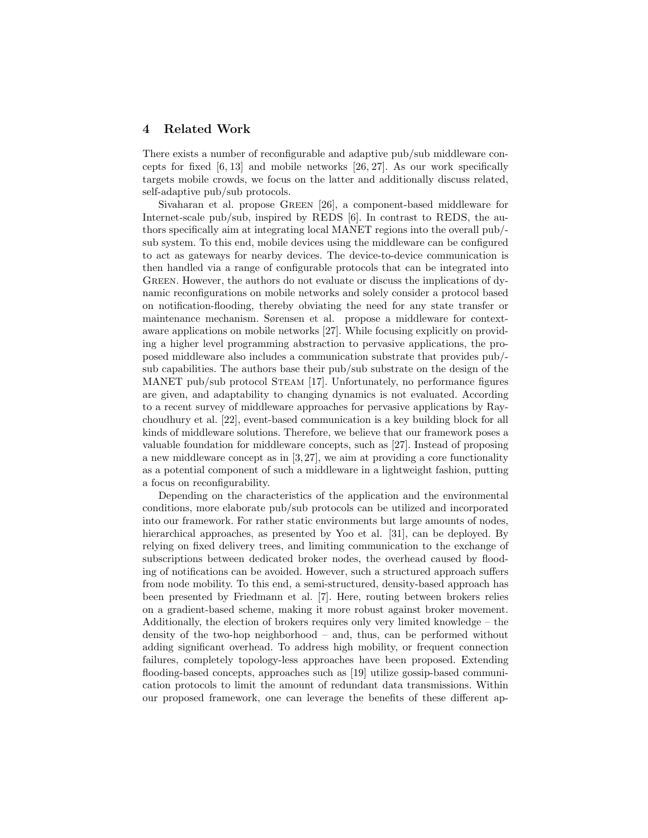#### 4 Related Work

There exists a number of reconfigurable and adaptive pub/sub middleware concepts for fixed [6, 13] and mobile networks [26, 27]. As our work specifically targets mobile crowds, we focus on the latter and additionally discuss related, self-adaptive pub/sub protocols.

Sivaharan et al. propose Green [26], a component-based middleware for Internet-scale pub/sub, inspired by REDS [6]. In contrast to REDS, the authors specifically aim at integrating local MANET regions into the overall pub/ sub system. To this end, mobile devices using the middleware can be configured to act as gateways for nearby devices. The device-to-device communication is then handled via a range of configurable protocols that can be integrated into Green. However, the authors do not evaluate or discuss the implications of dynamic reconfigurations on mobile networks and solely consider a protocol based on notification-flooding, thereby obviating the need for any state transfer or maintenance mechanism. Sørensen et al. propose a middleware for contextaware applications on mobile networks [27]. While focusing explicitly on providing a higher level programming abstraction to pervasive applications, the proposed middleware also includes a communication substrate that provides pub/ sub capabilities. The authors base their pub/sub substrate on the design of the MANET pub/sub protocol Steam [17]. Unfortunately, no performance figures are given, and adaptability to changing dynamics is not evaluated. According to a recent survey of middleware approaches for pervasive applications by Raychoudhury et al. [22], event-based communication is a key building block for all kinds of middleware solutions. Therefore, we believe that our framework poses a valuable foundation for middleware concepts, such as [27]. Instead of proposing a new middleware concept as in [3, 27], we aim at providing a core functionality as a potential component of such a middleware in a lightweight fashion, putting a focus on reconfigurability.

Depending on the characteristics of the application and the environmental conditions, more elaborate pub/sub protocols can be utilized and incorporated into our framework. For rather static environments but large amounts of nodes, hierarchical approaches, as presented by Yoo et al. [31], can be deployed. By relying on fixed delivery trees, and limiting communication to the exchange of subscriptions between dedicated broker nodes, the overhead caused by flooding of notifications can be avoided. However, such a structured approach suffers from node mobility. To this end, a semi-structured, density-based approach has been presented by Friedmann et al. [7]. Here, routing between brokers relies on a gradient-based scheme, making it more robust against broker movement. Additionally, the election of brokers requires only very limited knowledge – the density of the two-hop neighborhood – and, thus, can be performed without adding significant overhead. To address high mobility, or frequent connection failures, completely topology-less approaches have been proposed. Extending flooding-based concepts, approaches such as [19] utilize gossip-based communication protocols to limit the amount of redundant data transmissions. Within our proposed framework, one can leverage the benefits of these different ap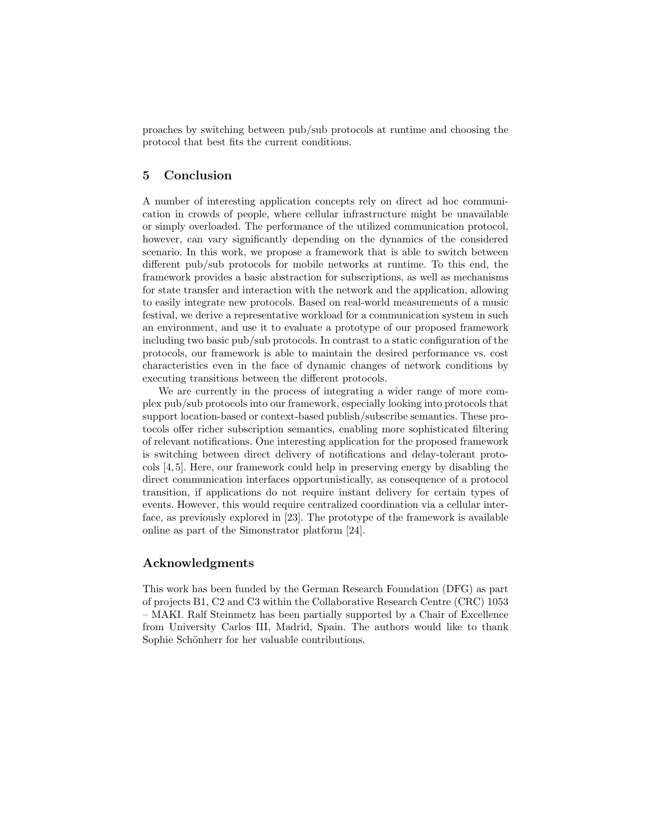proaches by switching between pub/sub protocols at runtime and choosing the protocol that best fits the current conditions.

## 5 Conclusion

A number of interesting application concepts rely on direct ad hoc communication in crowds of people, where cellular infrastructure might be unavailable or simply overloaded. The performance of the utilized communication protocol, however, can vary significantly depending on the dynamics of the considered scenario. In this work, we propose a framework that is able to switch between different pub/sub protocols for mobile networks at runtime. To this end, the framework provides a basic abstraction for subscriptions, as well as mechanisms for state transfer and interaction with the network and the application, allowing to easily integrate new protocols. Based on real-world measurements of a music festival, we derive a representative workload for a communication system in such an environment, and use it to evaluate a prototype of our proposed framework including two basic pub/sub protocols. In contrast to a static configuration of the protocols, our framework is able to maintain the desired performance vs. cost characteristics even in the face of dynamic changes of network conditions by executing transitions between the different protocols.

We are currently in the process of integrating a wider range of more complex pub/sub protocols into our framework, especially looking into protocols that support location-based or context-based publish/subscribe semantics. These protocols offer richer subscription semantics, enabling more sophisticated filtering of relevant notifications. One interesting application for the proposed framework is switching between direct delivery of notifications and delay-tolerant protocols [4, 5]. Here, our framework could help in preserving energy by disabling the direct communication interfaces opportunistically, as consequence of a protocol transition, if applications do not require instant delivery for certain types of events. However, this would require centralized coordination via a cellular interface, as previously explored in [23]. The prototype of the framework is available online as part of the Simonstrator platform [24].

## Acknowledgments

This work has been funded by the German Research Foundation (DFG) as part of projects B1, C2 and C3 within the Collaborative Research Centre (CRC) 1053 – MAKI. Ralf Steinmetz has been partially supported by a Chair of Excellence from University Carlos III, Madrid, Spain. The authors would like to thank Sophie Schönherr for her valuable contributions.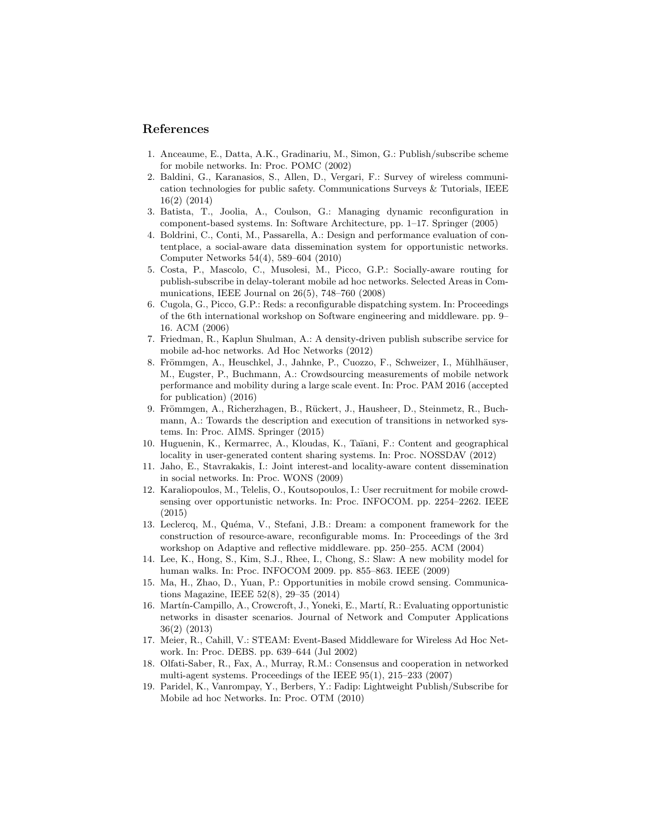#### References

- 1. Anceaume, E., Datta, A.K., Gradinariu, M., Simon, G.: Publish/subscribe scheme for mobile networks. In: Proc. POMC (2002)
- 2. Baldini, G., Karanasios, S., Allen, D., Vergari, F.: Survey of wireless communication technologies for public safety. Communications Surveys & Tutorials, IEEE 16(2) (2014)
- 3. Batista, T., Joolia, A., Coulson, G.: Managing dynamic reconfiguration in component-based systems. In: Software Architecture, pp. 1–17. Springer (2005)
- 4. Boldrini, C., Conti, M., Passarella, A.: Design and performance evaluation of contentplace, a social-aware data dissemination system for opportunistic networks. Computer Networks 54(4), 589–604 (2010)
- 5. Costa, P., Mascolo, C., Musolesi, M., Picco, G.P.: Socially-aware routing for publish-subscribe in delay-tolerant mobile ad hoc networks. Selected Areas in Communications, IEEE Journal on 26(5), 748–760 (2008)
- 6. Cugola, G., Picco, G.P.: Reds: a reconfigurable dispatching system. In: Proceedings of the 6th international workshop on Software engineering and middleware. pp. 9– 16. ACM (2006)
- 7. Friedman, R., Kaplun Shulman, A.: A density-driven publish subscribe service for mobile ad-hoc networks. Ad Hoc Networks (2012)
- 8. Frömmgen, A., Heuschkel, J., Jahnke, P., Cuozzo, F., Schweizer, I., Mühlhäuser, M., Eugster, P., Buchmann, A.: Crowdsourcing measurements of mobile network performance and mobility during a large scale event. In: Proc. PAM 2016 (accepted for publication) (2016)
- 9. Frömmgen, A., Richerzhagen, B., Rückert, J., Hausheer, D., Steinmetz, R., Buchmann, A.: Towards the description and execution of transitions in networked systems. In: Proc. AIMS. Springer (2015)
- 10. Huguenin, K., Kermarrec, A., Kloudas, K., Ta¨ıani, F.: Content and geographical locality in user-generated content sharing systems. In: Proc. NOSSDAV (2012)
- 11. Jaho, E., Stavrakakis, I.: Joint interest-and locality-aware content dissemination in social networks. In: Proc. WONS (2009)
- 12. Karaliopoulos, M., Telelis, O., Koutsopoulos, I.: User recruitment for mobile crowdsensing over opportunistic networks. In: Proc. INFOCOM. pp. 2254–2262. IEEE (2015)
- 13. Leclercq, M., Quéma, V., Stefani, J.B.: Dream: a component framework for the construction of resource-aware, reconfigurable moms. In: Proceedings of the 3rd workshop on Adaptive and reflective middleware. pp. 250–255. ACM (2004)
- 14. Lee, K., Hong, S., Kim, S.J., Rhee, I., Chong, S.: Slaw: A new mobility model for human walks. In: Proc. INFOCOM 2009. pp. 855–863. IEEE (2009)
- 15. Ma, H., Zhao, D., Yuan, P.: Opportunities in mobile crowd sensing. Communications Magazine, IEEE 52(8), 29–35 (2014)
- 16. Martín-Campillo, A., Crowcroft, J., Yoneki, E., Martí, R.: Evaluating opportunistic networks in disaster scenarios. Journal of Network and Computer Applications 36(2) (2013)
- 17. Meier, R., Cahill, V.: STEAM: Event-Based Middleware for Wireless Ad Hoc Network. In: Proc. DEBS. pp. 639–644 (Jul 2002)
- 18. Olfati-Saber, R., Fax, A., Murray, R.M.: Consensus and cooperation in networked multi-agent systems. Proceedings of the IEEE 95(1), 215–233 (2007)
- 19. Paridel, K., Vanrompay, Y., Berbers, Y.: Fadip: Lightweight Publish/Subscribe for Mobile ad hoc Networks. In: Proc. OTM (2010)